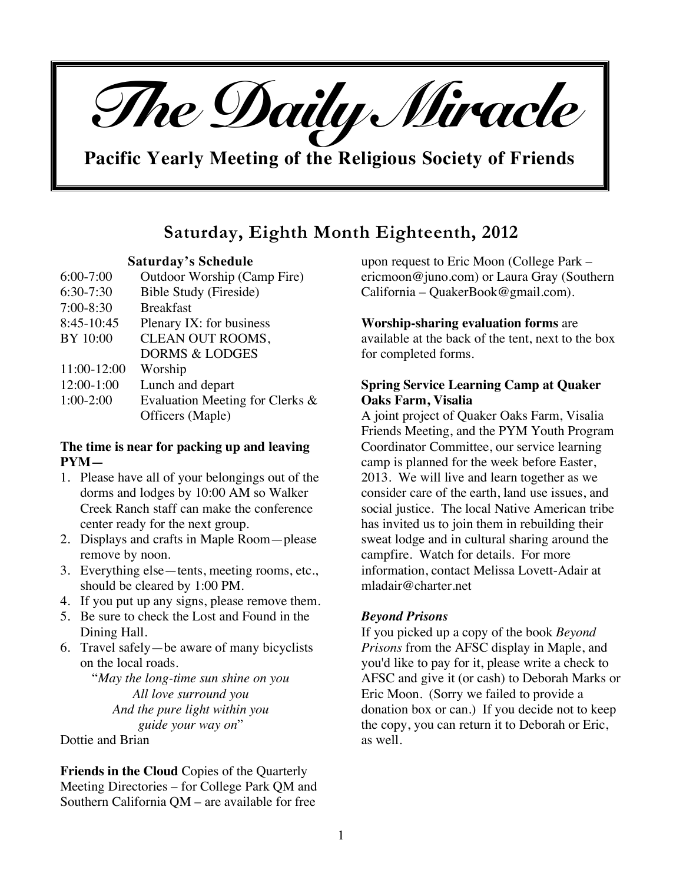

**Pacific Yearly Meeting of the Religious Society of Friends**

# **Saturday, Eighth Month Eighteenth, 2012**

# **Saturday's Schedule**

| $6:00 - 7:00$ | Outdoor Worship (Camp Fire)     |
|---------------|---------------------------------|
| $6:30-7:30$   | Bible Study (Fireside)          |
| $7:00-8:30$   | <b>Breakfast</b>                |
| 8:45-10:45    | Plenary IX: for business        |
| BY 10:00      | CLEAN OUT ROOMS,                |
|               | <b>DORMS &amp; LODGES</b>       |
| 11:00-12:00   | Worship                         |
| 12:00-1:00    | Lunch and depart                |
| $1:00-2:00$   | Evaluation Meeting for Clerks & |
|               | Officers (Maple)                |

# **The time is near for packing up and leaving PYM—**

- 1. Please have all of your belongings out of the dorms and lodges by 10:00 AM so Walker Creek Ranch staff can make the conference center ready for the next group.
- 2. Displays and crafts in Maple Room—please remove by noon.
- 3. Everything else—tents, meeting rooms, etc., should be cleared by 1:00 PM.
- 4. If you put up any signs, please remove them.
- 5. Be sure to check the Lost and Found in the Dining Hall.
- 6. Travel safely—be aware of many bicyclists on the local roads.

"*May the long-time sun shine on you All love surround you And the pure light within you guide your way on*"

Dottie and Brian

**Friends in the Cloud** Copies of the Quarterly Meeting Directories – for College Park QM and Southern California QM – are available for free

upon request to Eric Moon (College Park – ericmoon@juno.com) or Laura Gray (Southern California – QuakerBook@gmail.com).

## **Worship-sharing evaluation forms** are

available at the back of the tent, next to the box for completed forms.

# **Spring Service Learning Camp at Quaker Oaks Farm, Visalia**

A joint project of Quaker Oaks Farm, Visalia Friends Meeting, and the PYM Youth Program Coordinator Committee, our service learning camp is planned for the week before Easter, 2013. We will live and learn together as we consider care of the earth, land use issues, and social justice. The local Native American tribe has invited us to join them in rebuilding their sweat lodge and in cultural sharing around the campfire. Watch for details. For more information, contact Melissa Lovett-Adair at mladair@charter.net

# *Beyond Prisons*

If you picked up a copy of the book *Beyond Prisons* from the AFSC display in Maple, and you'd like to pay for it, please write a check to AFSC and give it (or cash) to Deborah Marks or Eric Moon. (Sorry we failed to provide a donation box or can.) If you decide not to keep the copy, you can return it to Deborah or Eric, as well.